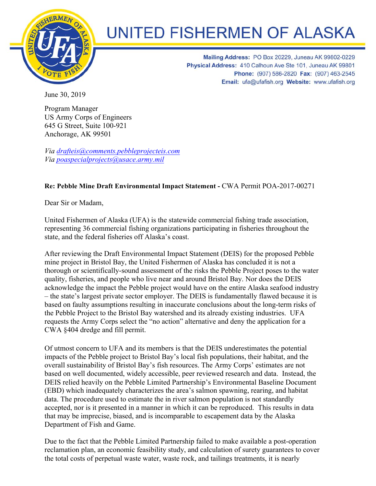

## **UNITED FISHERMEN OF ALASKA**

Mailing Address: PO Box 20229, Juneau AK 99802-0229 Physical Address: 410 Calhoun Ave Ste 101, Juneau AK 99801 Phone: (907) 586-2820 Fax: (907) 463-2545 Email: ufa@ufafish.org Website: www.ufafish.org

June 30, 2019

Program Manager US Army Corps of Engineers 645 G Street, Suite 100-921 Anchorage, AK 99501

*Via drafteis@comments.pebbleprojecteis.com Via poaspecialprojects@usace.army.mil*

## **Re: Pebble Mine Draft Environmental Impact Statement -** CWA Permit POA-2017-00271

Dear Sir or Madam,

United Fishermen of Alaska (UFA) is the statewide commercial fishing trade association, representing 36 commercial fishing organizations participating in fisheries throughout the state, and the federal fisheries off Alaska's coast.

After reviewing the Draft Environmental Impact Statement (DEIS) for the proposed Pebble mine project in Bristol Bay, the United Fishermen of Alaska has concluded it is not a thorough or scientifically-sound assessment of the risks the Pebble Project poses to the water quality, fisheries, and people who live near and around Bristol Bay. Nor does the DEIS acknowledge the impact the Pebble project would have on the entire Alaska seafood industry – the state's largest private sector employer. The DEIS is fundamentally flawed because it is based on faulty assumptions resulting in inaccurate conclusions about the long-term risks of the Pebble Project to the Bristol Bay watershed and its already existing industries. UFA requests the Army Corps select the "no action" alternative and deny the application for a CWA §404 dredge and fill permit.

Of utmost concern to UFA and its members is that the DEIS underestimates the potential impacts of the Pebble project to Bristol Bay's local fish populations, their habitat, and the overall sustainability of Bristol Bay's fish resources. The Army Corps' estimates are not based on well documented, widely accessible, peer reviewed research and data. Instead, the DEIS relied heavily on the Pebble Limited Partnership's Environmental Baseline Document (EBD) which inadequately characterizes the area's salmon spawning, rearing, and habitat data. The procedure used to estimate the in river salmon population is not standardly accepted, nor is it presented in a manner in which it can be reproduced. This results in data that may be imprecise, biased, and is incomparable to escapement data by the Alaska Department of Fish and Game.

Due to the fact that the Pebble Limited Partnership failed to make available a post-operation reclamation plan, an economic feasibility study, and calculation of surety guarantees to cover the total costs of perpetual waste water, waste rock, and tailings treatments, it is nearly